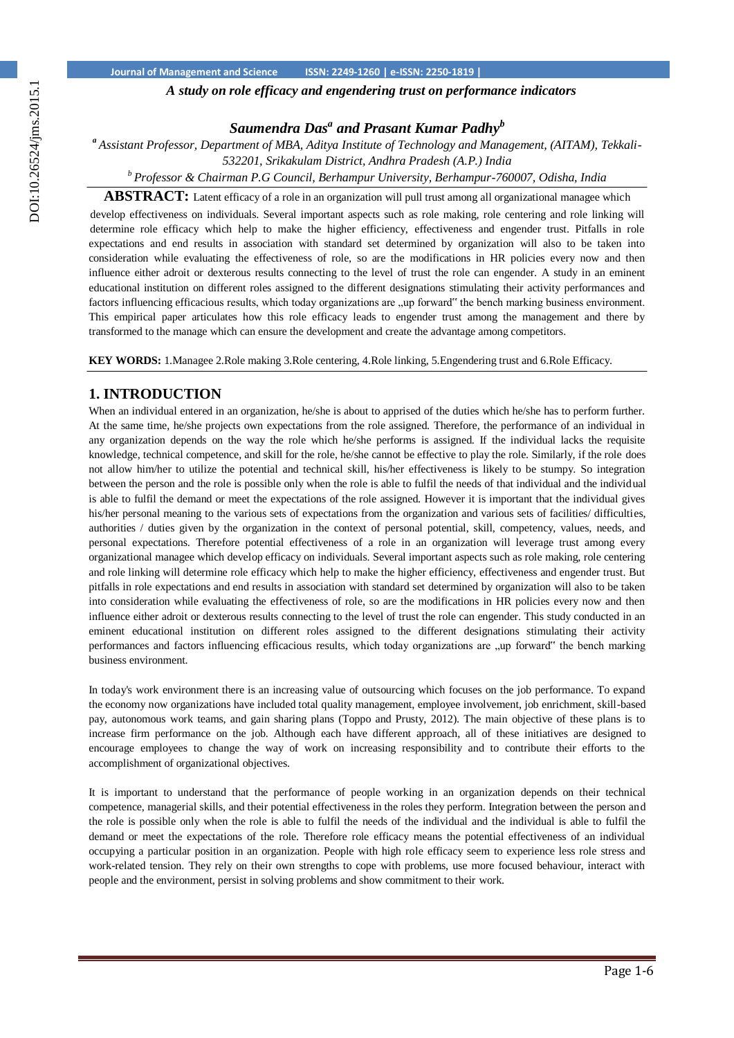*A study on role efficacy and engendering trust on performance indicators*

# *Saumendra Das<sup>a</sup> and Prasant Kumar Padhy<sup>b</sup>*

*<sup>a</sup>Assistant Professor, Department of MBA, Aditya Institute of Technology and Management, (AITAM), Tekkali-*

*532201, Srikakulam District, Andhra Pradesh (A.P.) India*

*<sup>b</sup>Professor & Chairman P.G Council, Berhampur University, Berhampur-760007, Odisha, India* 

**ABSTRACT:** Latent efficacy of a role in an organization will pull trust among all organizational managee which develop effectiveness on individuals. Several important aspects such as role making, role centering and role linking will determine role efficacy which help to make the higher efficiency, effectiveness and engender trust. Pitfalls in role expectations and end results in association with standard set determined by organization will also to be taken into consideration while evaluating the effectiveness of role, so are the modifications in HR policies every now and then influence either adroit or dexterous results connecting to the level of trust the role can engender. A study in an eminent educational institution on different roles assigned to the different designations stimulating their activity performances and factors influencing efficacious results, which today organizations are "up forward" the bench marking business environment. This empirical paper articulates how this role efficacy leads to engender trust among the management and there by transformed to the manage which can ensure the development and create the advantage among competitors.

**KEY WORDS:** 1.Managee 2.Role making 3.Role centering, 4.Role linking, 5.Engendering trust and 6.Role Efficacy.

### **1. INTRODUCTION**

When an individual entered in an organization, he/she is about to apprised of the duties which he/she has to perform further. At the same time, he/she projects own expectations from the role assigned. Therefore, the performance of an individual in any organization depends on the way the role which he/she performs is assigned. If the individual lacks the requisite knowledge, technical competence, and skill for the role, he/she cannot be effective to play the role. Similarly, if the role does not allow him/her to utilize the potential and technical skill, his/her effectiveness is likely to be stumpy. So integration between the person and the role is possible only when the role is able to fulfil the needs of that individual and the individual is able to fulfil the demand or meet the expectations of the role assigned. However it is important that the individual gives his/her personal meaning to the various sets of expectations from the organization and various sets of facilities/ difficulties, authorities / duties given by the organization in the context of personal potential, skill, competency, values, needs, and personal expectations. Therefore potential effectiveness of a role in an organization will leverage trust among every organizational managee which develop efficacy on individuals. Several important aspects such as role making, role centering and role linking will determine role efficacy which help to make the higher efficiency, effectiveness and engender trust. But pitfalls in role expectations and end results in association with standard set determined by organization will also to be taken into consideration while evaluating the effectiveness of role, so are the modifications in HR policies every now and then influence either adroit or dexterous results connecting to the level of trust the role can engender. This study conducted in an eminent educational institution on different roles assigned to the different designations stimulating their activity performances and factors influencing efficacious results, which today organizations are "up forward" the bench marking business environment.

In today's work environment there is an increasing value of outsourcing which focuses on the job performance. To expand the economy now organizations have included total quality management, employee involvement, job enrichment, skill-based pay, autonomous work teams, and gain sharing plans (Toppo and Prusty, 2012). The main objective of these plans is to increase firm performance on the job. Although each have different approach, all of these initiatives are designed to encourage employees to change the way of work on increasing responsibility and to contribute their efforts to the accomplishment of organizational objectives.

It is important to understand that the performance of people working in an organization depends on their technical competence, managerial skills, and their potential effectiveness in the roles they perform. Integration between the person and the role is possible only when the role is able to fulfil the needs of the individual and the individual is able to fulfil the demand or meet the expectations of the role. Therefore role efficacy means the potential effectiveness of an individual occupying a particular position in an organization. People with high role efficacy seem to experience less role stress and work-related tension. They rely on their own strengths to cope with problems, use more focused behaviour, interact with people and the environment, persist in solving problems and show commitment to their work.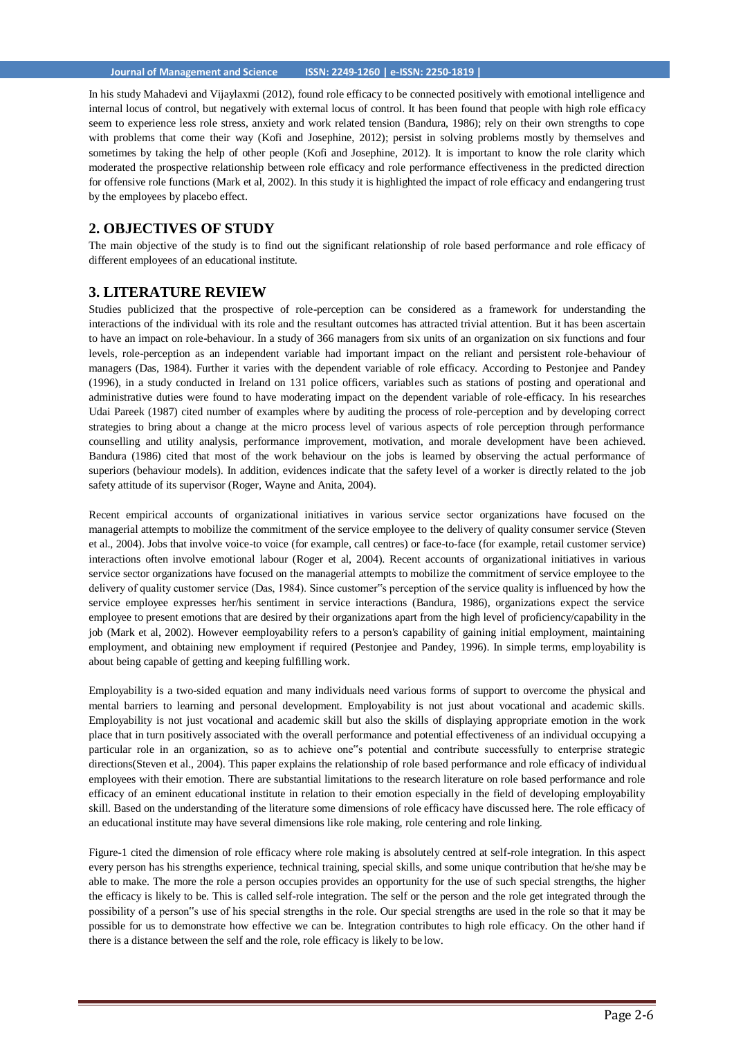#### **Journal of Management and Science ISSN: 2249-1260 | e-ISSN: 2250-1819 |**

In his study Mahadevi and Vijaylaxmi (2012), found role efficacy to be connected positively with emotional intelligence and internal locus of control, but negatively with external locus of control. It has been found that people with high role efficacy seem to experience less role stress, anxiety and work related tension (Bandura, 1986); rely on their own strengths to cope with problems that come their way (Kofi and Josephine, 2012); persist in solving problems mostly by themselves and sometimes by taking the help of other people (Kofi and Josephine, 2012). It is important to know the role clarity which moderated the prospective relationship between role efficacy and role performance effectiveness in the predicted direction for offensive role functions (Mark et al, 2002). In this study it is highlighted the impact of role efficacy and endangering trust by the employees by placebo effect.

## **2. OBJECTIVES OF STUDY**

The main objective of the study is to find out the significant relationship of role based performance and role efficacy of different employees of an educational institute.

## **3. LITERATURE REVIEW**

Studies publicized that the prospective of role-perception can be considered as a framework for understanding the interactions of the individual with its role and the resultant outcomes has attracted trivial attention. But it has been ascertain to have an impact on role-behaviour. In a study of 366 managers from six units of an organization on six functions and four levels, role-perception as an independent variable had important impact on the reliant and persistent role-behaviour of managers (Das, 1984). Further it varies with the dependent variable of role efficacy. According to Pestonjee and Pandey (1996), in a study conducted in Ireland on 131 police officers, variables such as stations of posting and operational and administrative duties were found to have moderating impact on the dependent variable of role-efficacy. In his researches Udai Pareek (1987) cited number of examples where by auditing the process of role-perception and by developing correct strategies to bring about a change at the micro process level of various aspects of role perception through performance counselling and utility analysis, performance improvement, motivation, and morale development have been achieved. Bandura (1986) cited that most of the work behaviour on the jobs is learned by observing the actual performance of superiors (behaviour models). In addition, evidences indicate that the safety level of a worker is directly related to the job safety attitude of its supervisor (Roger, Wayne and Anita, 2004).

Recent empirical accounts of organizational initiatives in various service sector organizations have focused on the managerial attempts to mobilize the commitment of the service employee to the delivery of quality consumer service (Steven et al., 2004). Jobs that involve voice-to voice (for example, call centres) or face-to-face (for example, retail customer service) interactions often involve emotional labour (Roger et al, 2004). Recent accounts of organizational initiatives in various service sector organizations have focused on the managerial attempts to mobilize the commitment of service employee to the delivery of quality customer service (Das, 1984). Since customer"s perception of the service quality is influenced by how the service employee expresses her/his sentiment in service interactions (Bandura, 1986), organizations expect the service employee to present emotions that are desired by their organizations apart from the high level of proficiency/capability in the job (Mark et al, 2002). However eemployability refers to a person's capability of gaining initial employment, maintaining employment, and obtaining new employment if required (Pestonjee and Pandey, 1996). In simple terms, employability is about being capable of getting and keeping fulfilling work.

Employability is a two-sided equation and many individuals need various forms of support to overcome the physical and mental barriers to learning and personal development. Employability is not just about vocational and academic skills. Employability is not just vocational and academic skill but also the skills of displaying appropriate emotion in the work place that in turn positively associated with the overall performance and potential effectiveness of an individual occupying a particular role in an organization, so as to achieve one"s potential and contribute successfully to enterprise strategic directions(Steven et al., 2004). This paper explains the relationship of role based performance and role efficacy of individual employees with their emotion. There are substantial limitations to the research literature on role based performance and role efficacy of an eminent educational institute in relation to their emotion especially in the field of developing employability skill. Based on the understanding of the literature some dimensions of role efficacy have discussed here. The role efficacy of an educational institute may have several dimensions like role making, role centering and role linking.

Figure-1 cited the dimension of role efficacy where role making is absolutely centred at self-role integration. In this aspect every person has his strengths experience, technical training, special skills, and some unique contribution that he/she may be able to make. The more the role a person occupies provides an opportunity for the use of such special strengths, the higher the efficacy is likely to be. This is called self-role integration. The self or the person and the role get integrated through the possibility of a person"s use of his special strengths in the role. Our special strengths are used in the role so that it may be possible for us to demonstrate how effective we can be. Integration contributes to high role efficacy. On the other hand if there is a distance between the self and the role, role efficacy is likely to be low.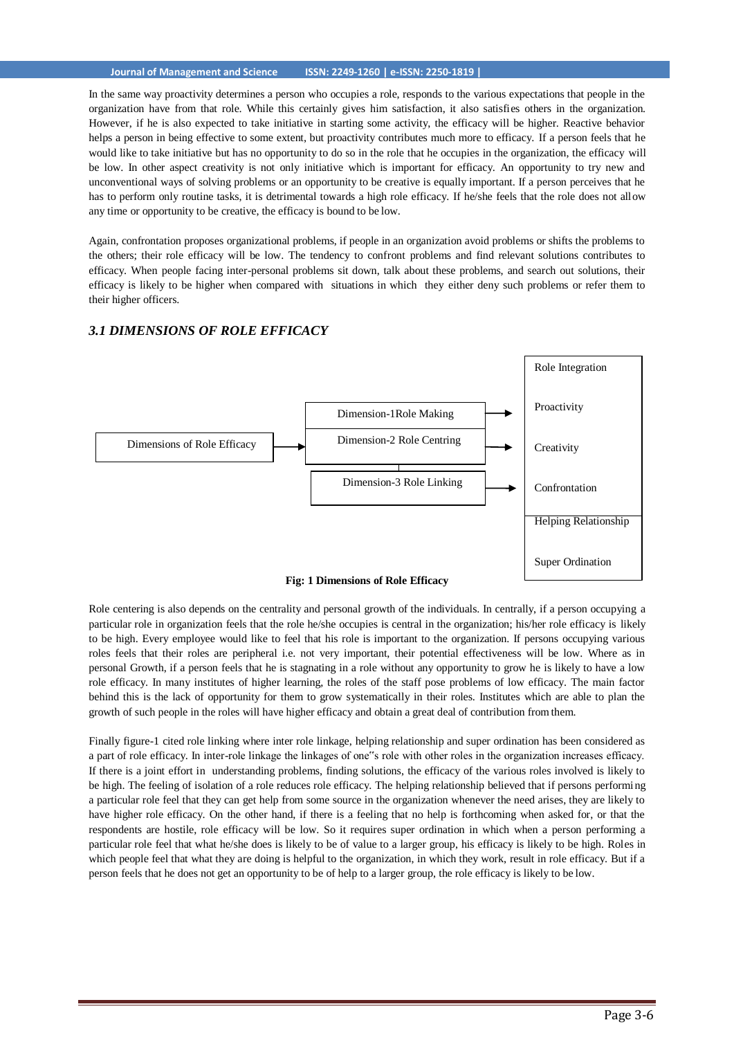#### **Journal of Management and Science ISSN: 2249-1260 | e-ISSN: 2250-1819 |**

In the same way proactivity determines a person who occupies a role, responds to the various expectations that people in the organization have from that role. While this certainly gives him satisfaction, it also satisfies others in the organization. However, if he is also expected to take initiative in starting some activity, the efficacy will be higher. Reactive behavior helps a person in being effective to some extent, but proactivity contributes much more to efficacy. If a person feels that he would like to take initiative but has no opportunity to do so in the role that he occupies in the organization, the efficacy will be low. In other aspect creativity is not only initiative which is important for efficacy. An opportunity to try new and unconventional ways of solving problems or an opportunity to be creative is equally important. If a person perceives that he has to perform only routine tasks, it is detrimental towards a high role efficacy. If he/she feels that the role does not allow any time or opportunity to be creative, the efficacy is bound to be low.

Again, confrontation proposes organizational problems, if people in an organization avoid problems or shifts the problems to the others; their role efficacy will be low. The tendency to confront problems and find relevant solutions contributes to efficacy. When people facing inter-personal problems sit down, talk about these problems, and search out solutions, their efficacy is likely to be higher when compared with situations in which they either deny such problems or refer them to their higher officers.



#### *3.1 DIMENSIONS OF ROLE EFFICACY*

Role centering is also depends on the centrality and personal growth of the individuals. In centrally, if a person occupying a particular role in organization feels that the role he/she occupies is central in the organization; his/her role efficacy is likely to be high. Every employee would like to feel that his role is important to the organization. If persons occupying various roles feels that their roles are peripheral i.e. not very important, their potential effectiveness will be low. Where as in personal Growth, if a person feels that he is stagnating in a role without any opportunity to grow he is likely to have a low role efficacy. In many institutes of higher learning, the roles of the staff pose problems of low efficacy. The main factor behind this is the lack of opportunity for them to grow systematically in their roles. Institutes which are able to plan the growth of such people in the roles will have higher efficacy and obtain a great deal of contribution from them.

Finally figure-1 cited role linking where inter role linkage, helping relationship and super ordination has been considered as a part of role efficacy. In inter-role linkage the linkages of one"s role with other roles in the organization increases efficacy. If there is a joint effort in understanding problems, finding solutions, the efficacy of the various roles involved is likely to be high. The feeling of isolation of a role reduces role efficacy. The helping relationship believed that if persons performing a particular role feel that they can get help from some source in the organization whenever the need arises, they are likely to have higher role efficacy. On the other hand, if there is a feeling that no help is forthcoming when asked for, or that the respondents are hostile, role efficacy will be low. So it requires super ordination in which when a person performing a particular role feel that what he/she does is likely to be of value to a larger group, his efficacy is likely to be high. Roles in which people feel that what they are doing is helpful to the organization, in which they work, result in role efficacy. But if a person feels that he does not get an opportunity to be of help to a larger group, the role efficacy is likely to be low.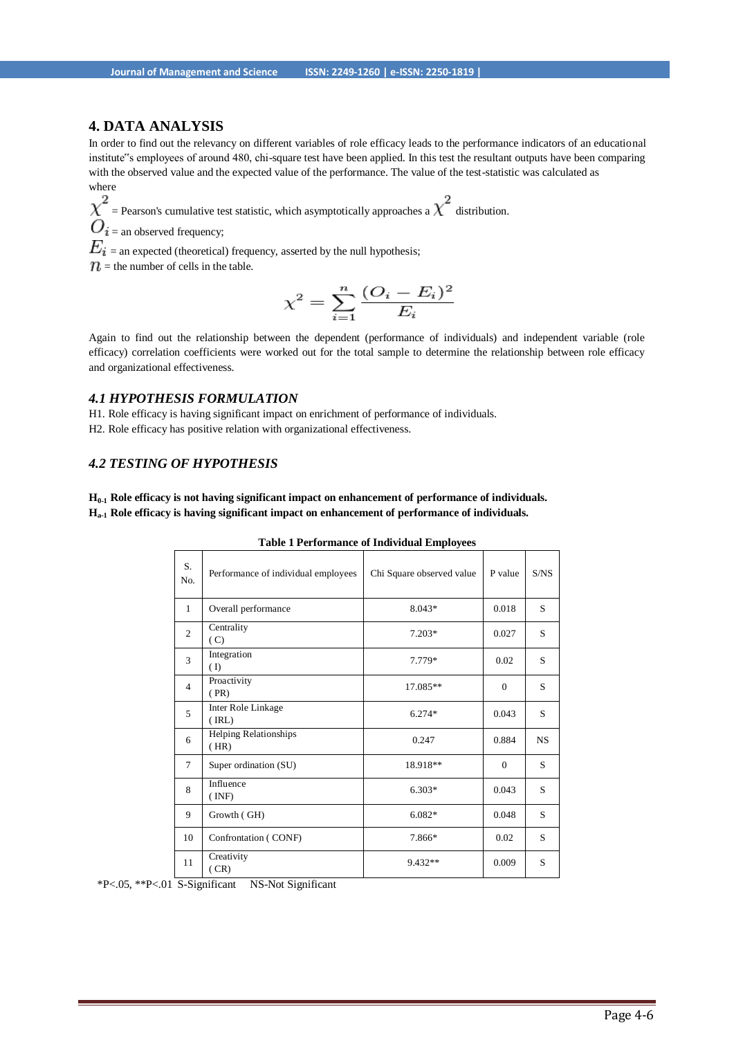## **4. DATA ANALYSIS**

In order to find out the relevancy on different variables of role efficacy leads to the performance indicators of an educational institute"s employees of around 480, chi-square test have been applied. In this test the resultant outputs have been comparing with the observed value and the expected value of the performance. The value of the test-statistic was calculated as where

 $\chi^2$  = Pearson's cumulative test statistic, which asymptotically approaches a  $\chi^2$  distribution.

 $O_i$  = an observed frequency;

 $E_i$  = an expected (theoretical) frequency, asserted by the null hypothesis;

 $\mathcal{D}$  = the number of cells in the table.

$$
\chi^2 = \sum_{i=1}^n \frac{(O_i - E_i)^2}{E_i}
$$

Again to find out the relationship between the dependent (performance of individuals) and independent variable (role efficacy) correlation coefficients were worked out for the total sample to determine the relationship between role efficacy and organizational effectiveness.

### *4.1 HYPOTHESIS FORMULATION*

H1. Role efficacy is having significant impact on enrichment of performance of individuals.

H2. Role efficacy has positive relation with organizational effectiveness.

## *4.2 TESTING OF HYPOTHESIS*

**H0-1 Role efficacy is not having significant impact on enhancement of performance of individuals. Ha-1 Role efficacy is having significant impact on enhancement of performance of individuals.**

| S.<br>No.      | Performance of individual employees  | Chi Square observed value | P value      | S/NS |
|----------------|--------------------------------------|---------------------------|--------------|------|
| $\mathbf{1}$   | Overall performance                  | 8.043*                    | 0.018        | S    |
| $\overline{2}$ | Centrality<br>(C)                    | $7.203*$                  | 0.027        | S    |
| 3              | Integration<br>(I)                   | 7.779*                    | 0.02         | S    |
| $\overline{4}$ | Proactivity<br>(PR)                  | 17.085**                  | $\mathbf{0}$ | S    |
| 5              | Inter Role Linkage<br>(IRL)          | 6.274*                    | 0.043        | S    |
| 6              | <b>Helping Relationships</b><br>(HR) | 0.247                     | 0.884        | NS.  |
| $\overline{7}$ | Super ordination (SU)                | 18.918**                  | $\Omega$     | S    |
| 8              | Influence<br>(INF)                   | $6.303*$                  | 0.043        | S    |
| 9              | Growth (GH)                          | 6.082*                    | 0.048        | S    |
| 10             | Confrontation (CONF)                 | 7.866*                    | 0.02         | S    |
| 11             | Creativity<br>(CR)                   | 9.432**                   | 0.009        | S    |

**Table 1 Performance of Individual Employees**

\*P<.05, \*\*P<.01 S-Significant NS-Not Significant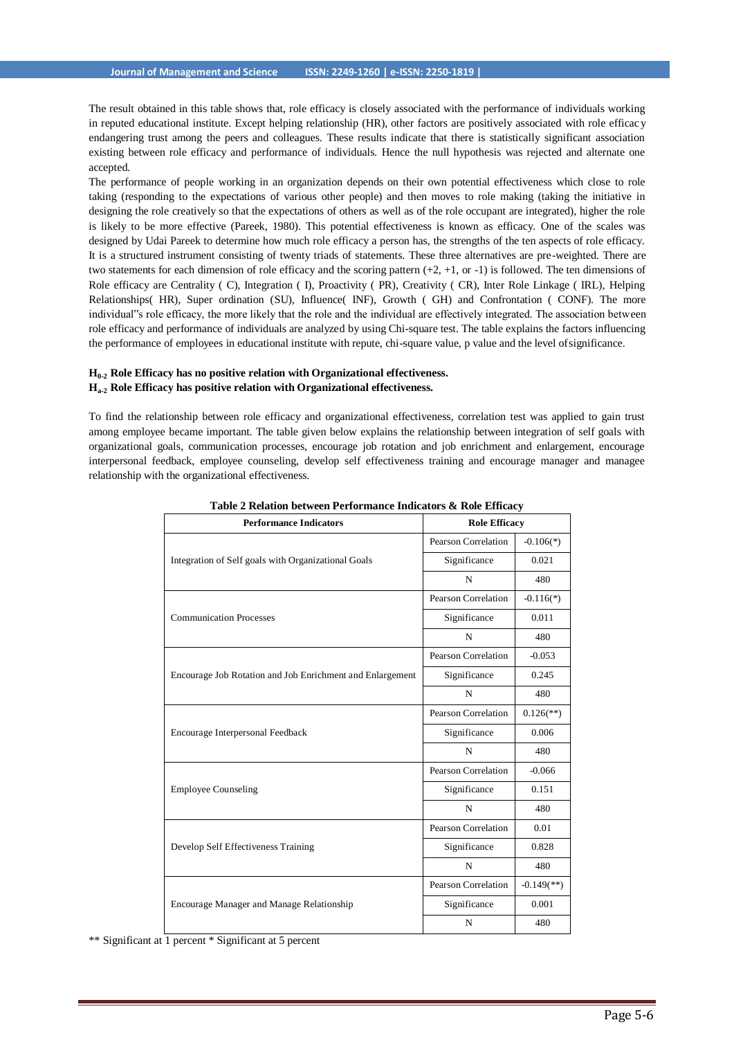The result obtained in this table shows that, role efficacy is closely associated with the performance of individuals working in reputed educational institute. Except helping relationship (HR), other factors are positively associated with role efficacy endangering trust among the peers and colleagues. These results indicate that there is statistically significant association existing between role efficacy and performance of individuals. Hence the null hypothesis was rejected and alternate one accepted.

The performance of people working in an organization depends on their own potential effectiveness which close to role taking (responding to the expectations of various other people) and then moves to role making (taking the initiative in designing the role creatively so that the expectations of others as well as of the role occupant are integrated), higher the role is likely to be more effective (Pareek, 1980). This potential effectiveness is known as efficacy. One of the scales was designed by Udai Pareek to determine how much role efficacy a person has, the strengths of the ten aspects of role efficacy. It is a structured instrument consisting of twenty triads of statements. These three alternatives are pre-weighted. There are two statements for each dimension of role efficacy and the scoring pattern  $(+2, +1,$  or  $-1)$  is followed. The ten dimensions of Role efficacy are Centrality ( C), Integration ( I), Proactivity ( PR), Creativity ( CR), Inter Role Linkage ( IRL), Helping Relationships( HR), Super ordination (SU), Influence( INF), Growth ( GH) and Confrontation ( CONF). The more individual"s role efficacy, the more likely that the role and the individual are effectively integrated. The association between role efficacy and performance of individuals are analyzed by using Chi-square test. The table explains the factors influencing the performance of employees in educational institute with repute, chi-square value, p value and the level ofsignificance.

#### **H0-2 Role Efficacy has no positive relation with Organizational effectiveness. Ha-2 Role Efficacy has positive relation with Organizational effectiveness.**

To find the relationship between role efficacy and organizational effectiveness, correlation test was applied to gain trust among employee became important. The table given below explains the relationship between integration of self goals with organizational goals, communication processes, encourage job rotation and job enrichment and enlargement, encourage interpersonal feedback, employee counseling, develop self effectiveness training and encourage manager and managee relationship with the organizational effectiveness.

| <b>Performance Indicators</b>                             | <b>Role Efficacy</b> |                          |  |
|-----------------------------------------------------------|----------------------|--------------------------|--|
|                                                           | Pearson Correlation  | $-0.106(*)$              |  |
| Integration of Self goals with Organizational Goals       | Significance         | 0.021                    |  |
|                                                           | N                    | 480                      |  |
|                                                           | Pearson Correlation  | $-0.116(*)$              |  |
| <b>Communication Processes</b>                            | Significance         | 0.011                    |  |
|                                                           | $\mathbf N$          | 480                      |  |
|                                                           | Pearson Correlation  | $-0.053$                 |  |
| Encourage Job Rotation and Job Enrichment and Enlargement | Significance         | 0.245                    |  |
|                                                           | N                    | 480                      |  |
|                                                           | Pearson Correlation  | $0.126$ <sup>**</sup> )  |  |
| Encourage Interpersonal Feedback                          | Significance         | 0.006                    |  |
|                                                           | N                    | 480                      |  |
|                                                           | Pearson Correlation  | $-0.066$                 |  |
| <b>Employee Counseling</b>                                | Significance         | 0.151                    |  |
|                                                           | N                    | 480                      |  |
|                                                           | Pearson Correlation  | 0.01                     |  |
| Develop Self Effectiveness Training                       | Significance         | 0.828                    |  |
|                                                           | N                    | 480                      |  |
|                                                           | Pearson Correlation  | $-0.149$ <sup>**</sup> ) |  |
| <b>Encourage Manager and Manage Relationship</b>          | Significance         | 0.001                    |  |
|                                                           | N                    | 480                      |  |

**Table 2 Relation between Performance Indicators & Role Efficacy**

\*\* Significant at 1 percent \* Significant at 5 percent